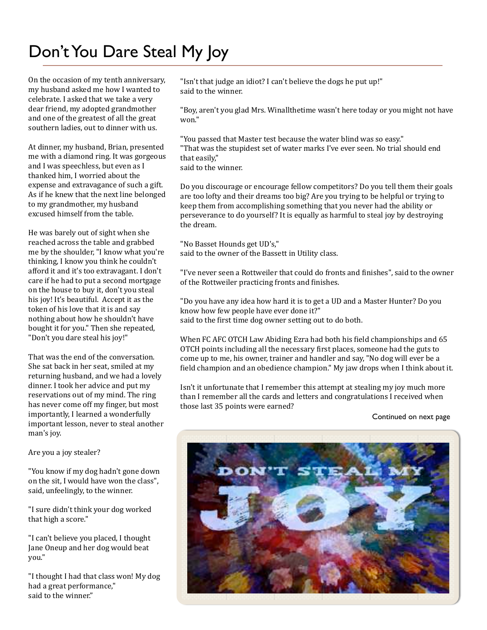# Don't You Dare Steal My Joy

On the occasion of my tenth anniversary, my husband asked me how I wanted to celebrate. I asked that we take a very dear friend, my adopted grandmother and one of the greatest of all the great southern ladies, out to dinner with us.

At dinner, my husband, Brian, presented me with a diamond ring. It was gorgeous and I was speechless, but even as I thanked him, I worried about the expense and extravagance of such a gift. As if he knew that the next line belonged to my grandmother, my husband excused himself from the table.

He was barely out of sight when she reached across the table and grabbed me by the shoulder, "I know what you're thinking, I know you think he couldn't afford it and it's too extravagant. I don't care if he had to put a second mortgage on the house to buy it, don't you steal his joy! It's beautiful. Accept it as the token of his love that it is and say nothing about how he shouldn't have bought it for you." Then she repeated, "Don't you dare steal his joy!"

That was the end of the conversation. She sat back in her seat, smiled at my returning husband, and we had a lovely dinner. I took her advice and put my reservations out of my mind. The ring has never come off my finger, but most importantly, I learned a wonderfully important lesson, never to steal another man's joy.

Are you a joy stealer?

"You know if my dog hadn't gone down on the sit, I would have won the class", said, unfeelingly, to the winner.

"I sure didn't think your dog worked that high a score."

"I can't believe you placed, I thought Jane Oneup and her dog would beat you."

"I thought I had that class won! My dog had a great performance," said to the winner."

"Isn't that judge an idiot? I can't believe the dogs he put up!" said to the winner.

"Boy, aren't you glad Mrs. Winallthetime wasn't here today or you might not have won."

"You passed that Master test because the water blind was so easy." "That was the stupidest set of water marks I've ever seen. No trial should end that easily," said to the winner.

Do you discourage or encourage fellow competitors? Do you tell them their goals are too lofty and their dreams too big? Are you trying to be helpful or trying to keep them from accomplishing something that you never had the ability or perseverance to do yourself? It is equally as harmful to steal joy by destroying the dream.

"No Basset Hounds get UD's," said to the owner of the Bassett in Utility class.

"I've never seen a Rottweiler that could do fronts and finishes", said to the owner of the Rottweiler practicing fronts and finishes.

"Do you have any idea how hard it is to get a UD and a Master Hunter? Do you know how few people have ever done it?" said to the first time dog owner setting out to do both.

When FC AFC OTCH Law Abiding Ezra had both his field championships and 65 OTCH points including all the necessary Girst places, someone had the guts to come up to me, his owner, trainer and handler and say, "No dog will ever be a field champion and an obedience champion." My jaw drops when I think about it.

Isn't it unfortunate that I remember this attempt at stealing my joy much more than I remember all the cards and letters and congratulations I received when those last 35 points were earned?

#### Continued on next page